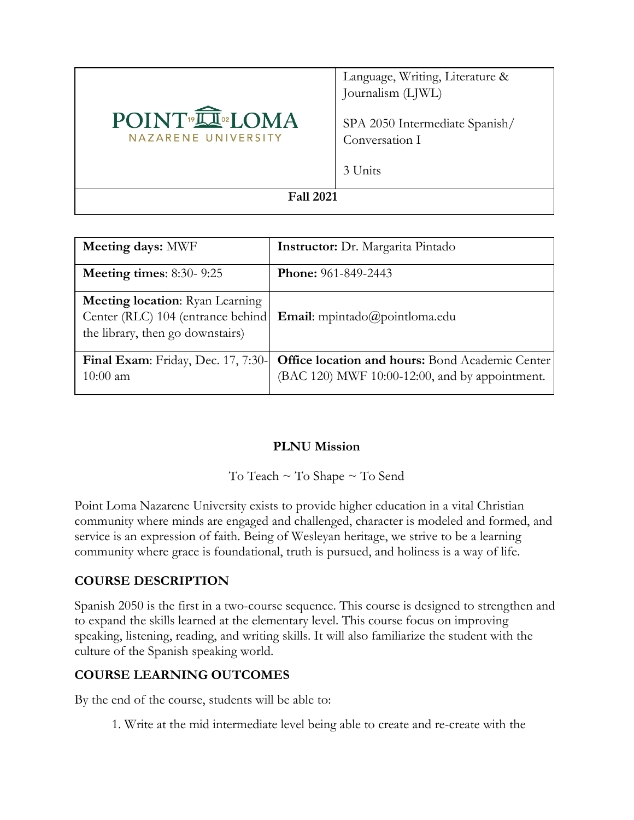

Language, Writing, Literature & Journalism (LJWL)

SPA 2050 Intermediate Spanish/ Conversation I

3 Units

**Fall 2021**

| <b>Meeting days: MWF</b>                                                                                        | <b>Instructor:</b> Dr. Margarita Pintado                                                          |
|-----------------------------------------------------------------------------------------------------------------|---------------------------------------------------------------------------------------------------|
| Meeting times: $8:30-9:25$                                                                                      | <b>Phone:</b> 961-849-2443                                                                        |
| <b>Meeting location:</b> Ryan Learning<br>Center (RLC) 104 (entrance behind<br>the library, then go downstairs) | <b>Email:</b> mpintado@pointloma.edu                                                              |
| Final Exam: Friday, Dec. 17, 7:30-<br>$10:00$ am                                                                | Office location and hours: Bond Academic Center<br>(BAC 120) MWF 10:00-12:00, and by appointment. |

### **PLNU Mission**

To Teach ~ To Shape ~ To Send

Point Loma Nazarene University exists to provide higher education in a vital Christian community where minds are engaged and challenged, character is modeled and formed, and service is an expression of faith. Being of Wesleyan heritage, we strive to be a learning community where grace is foundational, truth is pursued, and holiness is a way of life.

### **COURSE DESCRIPTION**

Spanish 2050 is the first in a two-course sequence. This course is designed to strengthen and to expand the skills learned at the elementary level. This course focus on improving speaking, listening, reading, and writing skills. It will also familiarize the student with the culture of the Spanish speaking world.

## **COURSE LEARNING OUTCOMES**

By the end of the course, students will be able to:

1. Write at the mid intermediate level being able to create and re-create with the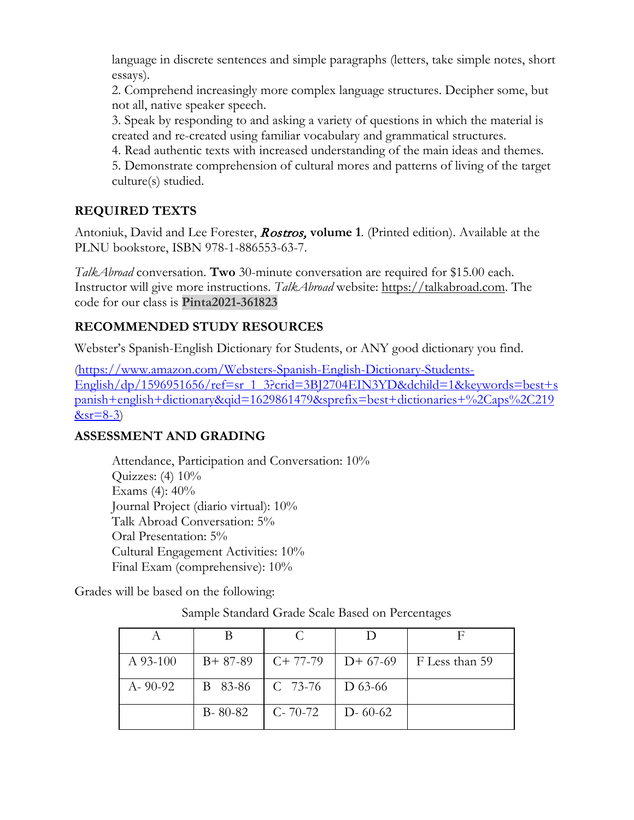language in discrete sentences and simple paragraphs (letters, take simple notes, short essays).

2. Comprehend increasingly more complex language structures. Decipher some, but not all, native speaker speech.

3. Speak by responding to and asking a variety of questions in which the material is created and re-created using familiar vocabulary and grammatical structures.

4. Read authentic texts with increased understanding of the main ideas and themes.

5. Demonstrate comprehension of cultural mores and patterns of living of the target culture(s) studied.

# **REQUIRED TEXTS**

Antoniuk, David and Lee Forester, Rostros, **volume 1**. (Printed edition). Available at the PLNU bookstore, ISBN 978-1-886553-63-7.

*TalkAbroad* conversation. **Two** 30-minute conversation are required for \$15.00 each. Instructor will give more instructions. *TalkAbroad* website: [https://talkabroad.com.](https://talkabroad.com/) The code for our class is **Pinta2021-361823**

## **RECOMMENDED STUDY RESOURCES**

Webster's Spanish-English Dictionary for Students, or ANY good dictionary you find.

[\(https://www.amazon.com/Websters-Spanish-English-Dictionary-Students-](https://www.amazon.com/Websters-Spanish-English-Dictionary-Students-English/dp/1596951656/ref=sr_1_3?crid=3BJ2704EIN3YD&dchild=1&keywords=best+spanish+english+dictionary&qid=1629861479&sprefix=best+dictionaries+%2Caps%2C219&sr=8-3)[English/dp/1596951656/ref=sr\\_1\\_3?crid=3BJ2704EIN3YD&dchild=1&keywords=best+s](https://www.amazon.com/Websters-Spanish-English-Dictionary-Students-English/dp/1596951656/ref=sr_1_3?crid=3BJ2704EIN3YD&dchild=1&keywords=best+spanish+english+dictionary&qid=1629861479&sprefix=best+dictionaries+%2Caps%2C219&sr=8-3) [panish+english+dictionary&qid=1629861479&sprefix=best+dictionaries+%2Caps%2C219](https://www.amazon.com/Websters-Spanish-English-Dictionary-Students-English/dp/1596951656/ref=sr_1_3?crid=3BJ2704EIN3YD&dchild=1&keywords=best+spanish+english+dictionary&qid=1629861479&sprefix=best+dictionaries+%2Caps%2C219&sr=8-3)  $&sr=8-3)$ 

## **ASSESSMENT AND GRADING**

Attendance, Participation and Conversation: 10% Quizzes:  $(4)$  10% Exams (4): 40% Journal Project (diario virtual): 10% Talk Abroad Conversation: 5% Oral Presentation: 5% Cultural Engagement Activities: 10% Final Exam (comprehensive): 10%

Grades will be based on the following:

Sample Standard Grade Scale Based on Percentages

| $A$ 93-100    | $B+87-89$     | $C+77-79$      | $D+67-69$     | F Less than 59 |
|---------------|---------------|----------------|---------------|----------------|
| $A - 90 - 92$ | B 83-86       | $\mid C$ 73-76 | D 63-66       |                |
|               | $B - 80 - 82$ | $C - 70 - 72$  | $D - 60 - 62$ |                |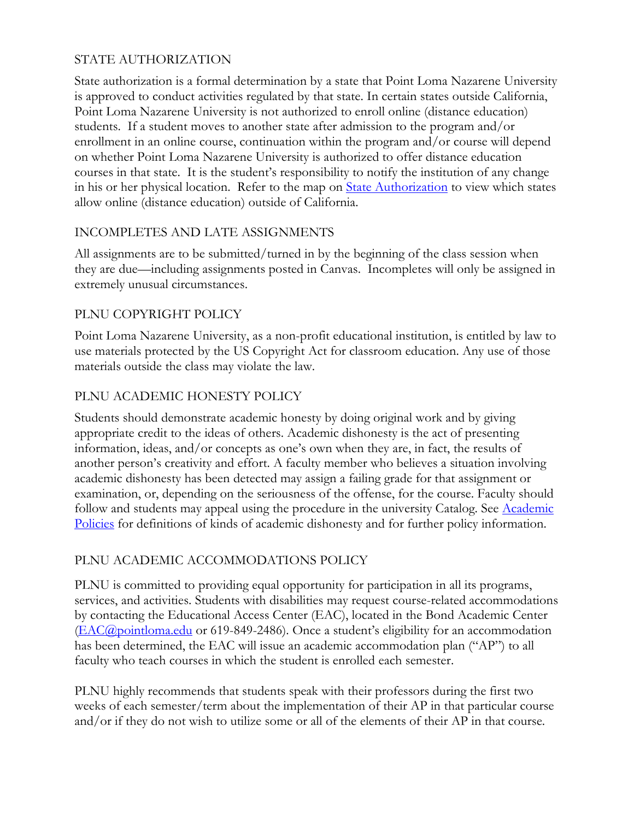## STATE AUTHORIZATION

State authorization is a formal determination by a state that Point Loma Nazarene University is approved to conduct activities regulated by that state. In certain states outside California, Point Loma Nazarene University is not authorized to enroll online (distance education) students. If a student moves to another state after admission to the program and/or enrollment in an online course, continuation within the program and/or course will depend on whether Point Loma Nazarene University is authorized to offer distance education courses in that state. It is the student's responsibility to notify the institution of any change in his or her physical location. Refer to the map on [State Authorization](https://www.pointloma.edu/offices/office-institutional-effectiveness-research/disclosures) to view which states allow online (distance education) outside of California.

## INCOMPLETES AND LATE ASSIGNMENTS

All assignments are to be submitted/turned in by the beginning of the class session when they are due—including assignments posted in Canvas. Incompletes will only be assigned in extremely unusual circumstances.

## PLNU COPYRIGHT POLICY

Point Loma Nazarene University, as a non-profit educational institution, is entitled by law to use materials protected by the US Copyright Act for classroom education. Any use of those materials outside the class may violate the law.

### PLNU ACADEMIC HONESTY POLICY

Students should demonstrate academic honesty by doing original work and by giving appropriate credit to the ideas of others. Academic dishonesty is the act of presenting information, ideas, and/or concepts as one's own when they are, in fact, the results of another person's creativity and effort. A faculty member who believes a situation involving academic dishonesty has been detected may assign a failing grade for that assignment or examination, or, depending on the seriousness of the offense, for the course. Faculty should follow and students may appeal using the procedure in the university Catalog. See Academic [Policies](https://catalog.pointloma.edu/content.php?catoid=52&navoid=2919#Academic_Honesty) for definitions of kinds of academic dishonesty and for further policy information.

## PLNU ACADEMIC ACCOMMODATIONS POLICY

PLNU is committed to providing equal opportunity for participation in all its programs, services, and activities. Students with disabilities may request course-related accommodations by contacting the Educational Access Center (EAC), located in the Bond Academic Center [\(EAC@pointloma.edu](mailto:EAC@pointloma.edu) or 619-849-2486). Once a student's eligibility for an accommodation has been determined, the EAC will issue an academic accommodation plan ("AP") to all faculty who teach courses in which the student is enrolled each semester.

PLNU highly recommends that students speak with their professors during the first two weeks of each semester/term about the implementation of their AP in that particular course and/or if they do not wish to utilize some or all of the elements of their AP in that course.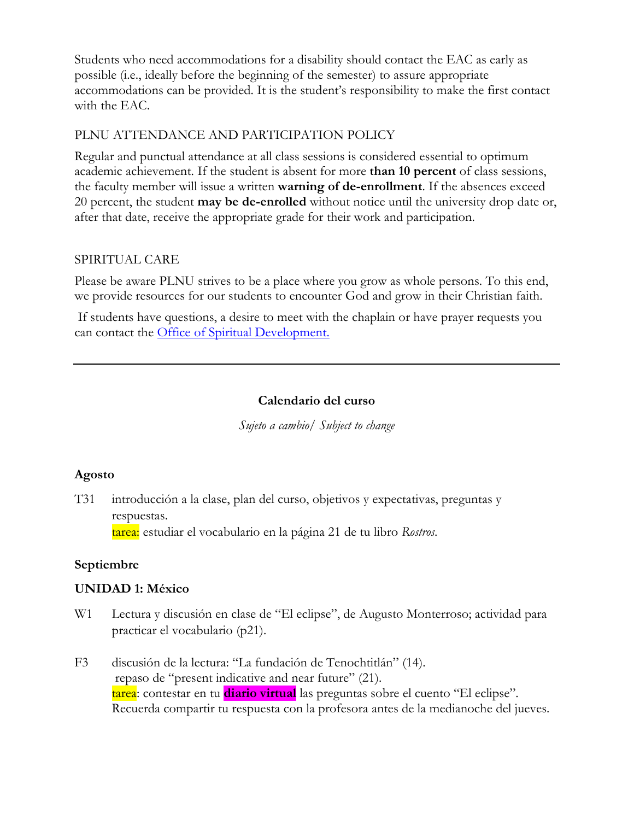Students who need accommodations for a disability should contact the EAC as early as possible (i.e., ideally before the beginning of the semester) to assure appropriate accommodations can be provided. It is the student's responsibility to make the first contact with the EAC.

### PLNU ATTENDANCE AND PARTICIPATION POLICY

Regular and punctual attendance at all class sessions is considered essential to optimum academic achievement. If the student is absent for more **than 10 percent** of class sessions, the faculty member will issue a written **warning of de-enrollment**. If the absences exceed 20 percent, the student **may be de-enrolled** without notice until the university drop date or, after that date, receive the appropriate grade for their work and participation.

### SPIRITUAL CARE

Please be aware PLNU strives to be a place where you grow as whole persons. To this end, we provide resources for our students to encounter God and grow in their Christian faith.

If students have questions, a desire to meet with the chaplain or have prayer requests you can contact the Office of Spiritual Development.

### **Calendario del curso**

*Sujeto a cambio/ Subject to change*

## **Agosto**

T31 introducción a la clase, plan del curso, objetivos y expectativas, preguntas y respuestas.

tarea: estudiar el vocabulario en la página 21 de tu libro *Rostros*.

## **Septiembre**

### **UNIDAD 1: México**

- W1 Lectura y discusión en clase de "El eclipse", de Augusto Monterroso; actividad para practicar el vocabulario (p21).
- F3 discusión de la lectura: "La fundación de Tenochtitlán" (14). repaso de "present indicative and near future" (21). tarea: contestar en tu **diario virtual** las preguntas sobre el cuento "El eclipse". Recuerda compartir tu respuesta con la profesora antes de la medianoche del jueves.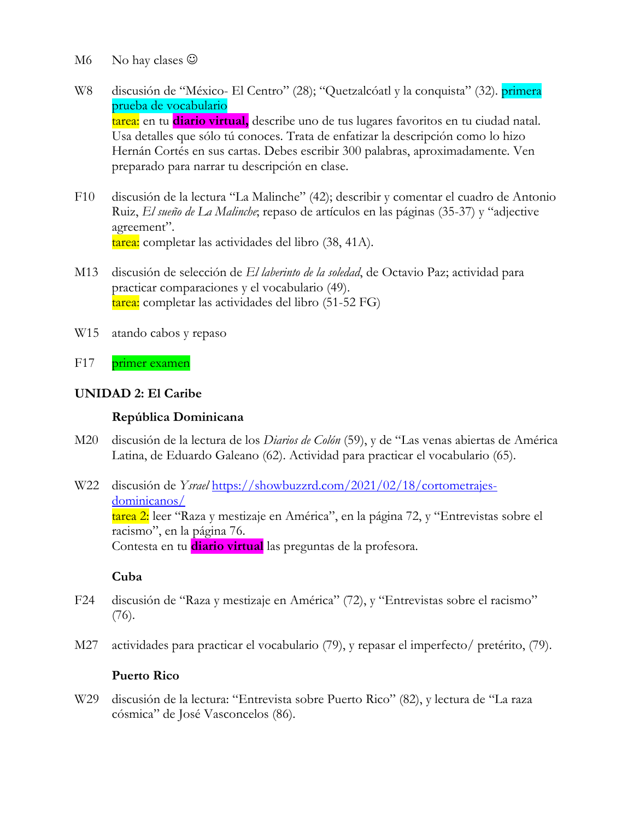- M6 No hay clases  $\odot$
- W8 discusión de "México- El Centro" (28); "Quetzalcóatl y la conquista" (32). primera prueba de vocabulario tarea: en tu **diario virtual,** describe uno de tus lugares favoritos en tu ciudad natal. Usa detalles que sólo tú conoces. Trata de enfatizar la descripción como lo hizo Hernán Cortés en sus cartas. Debes escribir 300 palabras, aproximadamente. Ven preparado para narrar tu descripción en clase.
- F10 discusión de la lectura "La Malinche" (42); describir y comentar el cuadro de Antonio Ruiz, *El sueño de La Malinche*; repaso de artículos en las páginas (35-37) y "adjective agreement". tarea: completar las actividades del libro (38, 41A).
- M13 discusión de selección de *El laberinto de la soledad*, de Octavio Paz; actividad para practicar comparaciones y el vocabulario (49). tarea: completar las actividades del libro (51-52 FG)
- W15 atando cabos y repaso
- F17 primer examen

#### **UNIDAD 2: El Caribe**

#### **República Dominicana**

M20 discusión de la lectura de los *Diarios de Colón* (59), y de "Las venas abiertas de América Latina, de Eduardo Galeano (62). Actividad para practicar el vocabulario (65).

W22 discusión de *Ysrael* [https://showbuzzrd.com/2021/02/18/cortometrajes](https://showbuzzrd.com/2021/02/18/cortometrajes-dominicanos/)[dominicanos/](https://showbuzzrd.com/2021/02/18/cortometrajes-dominicanos/) tarea 2: leer "Raza y mestizaje en América", en la página 72, y "Entrevistas sobre el racismo", en la página 76. Contesta en tu **diario virtual** las preguntas de la profesora.

#### **Cuba**

- F24 discusión de "Raza y mestizaje en América" (72), y "Entrevistas sobre el racismo" (76).
- M27 actividades para practicar el vocabulario (79), y repasar el imperfecto/ pretérito, (79).

#### **Puerto Rico**

W29 discusión de la lectura: "Entrevista sobre Puerto Rico" (82), y lectura de "La raza cósmica" de José Vasconcelos (86).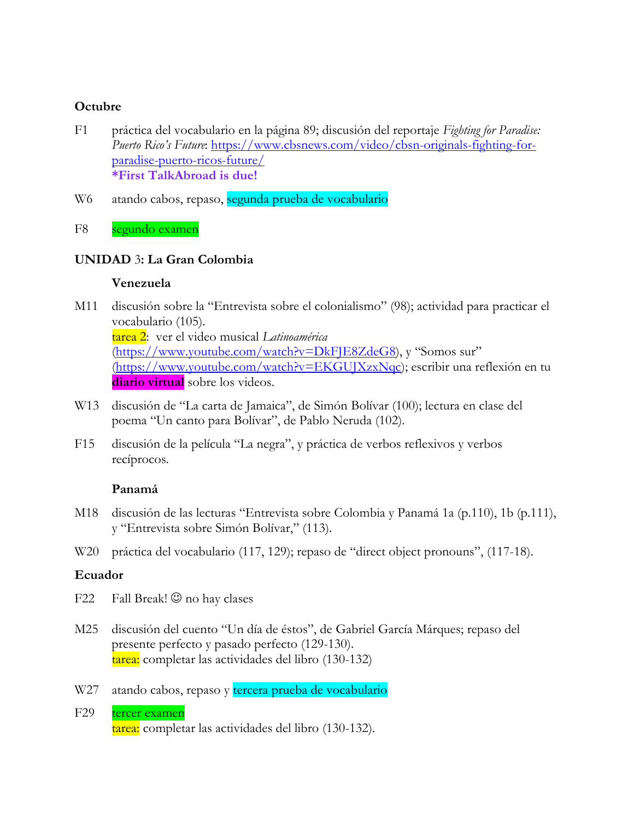#### **Octubre**

- F1 práctica del vocabulario en la página 89; discusión del reportaje *Fighting for Paradise: Puerto Rico's Future*: [https://www.cbsnews.com/video/cbsn-originals-fighting-for](https://www.cbsnews.com/video/cbsn-originals-fighting-for-paradise-puerto-ricos-future/)[paradise-puerto-ricos-future/](https://www.cbsnews.com/video/cbsn-originals-fighting-for-paradise-puerto-ricos-future/) **\*First TalkAbroad is due!**
- W6 atando cabos, repaso, segunda prueba de vocabulario
- F8 segundo examen

### **UNIDAD** 3**: La Gran Colombia**

#### **Venezuela**

- M11 discusión sobre la "Entrevista sobre el colonialismo" (98); actividad para practicar el vocabulario (105). tarea 2: ver el video musical *Latinoamérica* [\(https://www.youtube.com/watch?v=DkFJE8ZdeG8\)](https://www.youtube.com/watch?v=DkFJE8ZdeG8), y "Somos sur" [\(https://www.youtube.com/watch?v=EKGUJXzxNqc\)](https://www.youtube.com/watch?v=EKGUJXzxNqc); escribir una reflexión en tu **diario virtual** sobre los videos.
- W13 discusión de "La carta de Jamaica", de Simón Bolívar (100); lectura en clase del poema "Un canto para Bolívar", de Pablo Neruda (102).
- F15 discusión de la película "La negra", y práctica de verbos reflexivos y verbos recíprocos.

### **Panamá**

- M18 discusión de las lecturas "Entrevista sobre Colombia y Panamá 1a (p.110), 1b (p.111), y "Entrevista sobre Simón Bolívar," (113).
- W20 práctica del vocabulario (117, 129); repaso de "direct object pronouns", (117-18).

### **Ecuador**

- F22 Fall Break!  $\odot$  no hay clases
- M25 discusión del cuento "Un día de éstos", de Gabriel García Márques; repaso del presente perfecto y pasado perfecto (129-130). tarea: completar las actividades del libro (130-132)
- W27 atando cabos, repaso y tercera prueba de vocabulario
- F29 tercer examen tarea: completar las actividades del libro (130-132).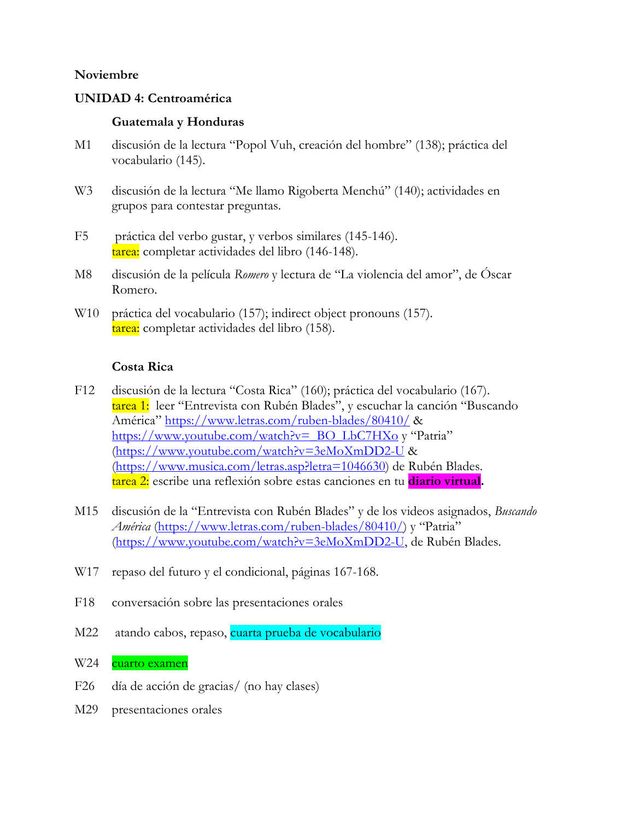#### **Noviembre**

#### **UNIDAD 4: Centroamérica**

#### **Guatemala y Honduras**

- M1 discusión de la lectura "Popol Vuh, creación del hombre" (138); práctica del vocabulario (145).
- W3 discusión de la lectura "Me llamo Rigoberta Menchú" (140); actividades en grupos para contestar preguntas.
- F5 práctica del verbo gustar, y verbos similares (145-146). tarea: completar actividades del libro (146-148).
- M8 discusión de la película *Romero* y lectura de "La violencia del amor", de Óscar Romero.
- W10 práctica del vocabulario (157); indirect object pronouns (157). tarea: completar actividades del libro (158).

#### **Costa Rica**

- F12 discusión de la lectura "Costa Rica" (160); práctica del vocabulario (167). tarea 1: leer "Entrevista con Rubén Blades", y escuchar la canción "Buscando América"<https://www.letras.com/ruben-blades/80410/> & [https://www.youtube.com/watch?v=\\_BO\\_LbC7HXo](https://www.youtube.com/watch?v=_BO_LbC7HXo) y "Patria" [\(https://www.youtube.com/watch?v=3eMoXmDD2-U](https://www.youtube.com/watch?v=3eMoXmDD2-U) & [\(https://www.musica.com/letras.asp?letra=1046630\)](https://www.musica.com/letras.asp?letra=1046630) de Rubén Blades. tarea 2: escribe una reflexión sobre estas canciones en tu **diario virtual.**
- M15 discusión de la "Entrevista con Rubén Blades" y de los videos asignados, *Buscando América* [\(https://www.letras.com/ruben-blades/80410/\)](https://www.letras.com/ruben-blades/80410/) y "Patria" [\(https://www.youtube.com/watch?v=3eMoXmDD2-U,](https://www.youtube.com/watch?v=3eMoXmDD2-U) de Rubén Blades.
- W<sub>17</sub> repaso del futuro y el condicional, páginas 167-168.
- F18 conversación sobre las presentaciones orales
- M22 atando cabos, repaso, cuarta prueba de vocabulario
- W24 cuarto examen
- F26 día de acción de gracias/ (no hay clases)
- M29 presentaciones orales